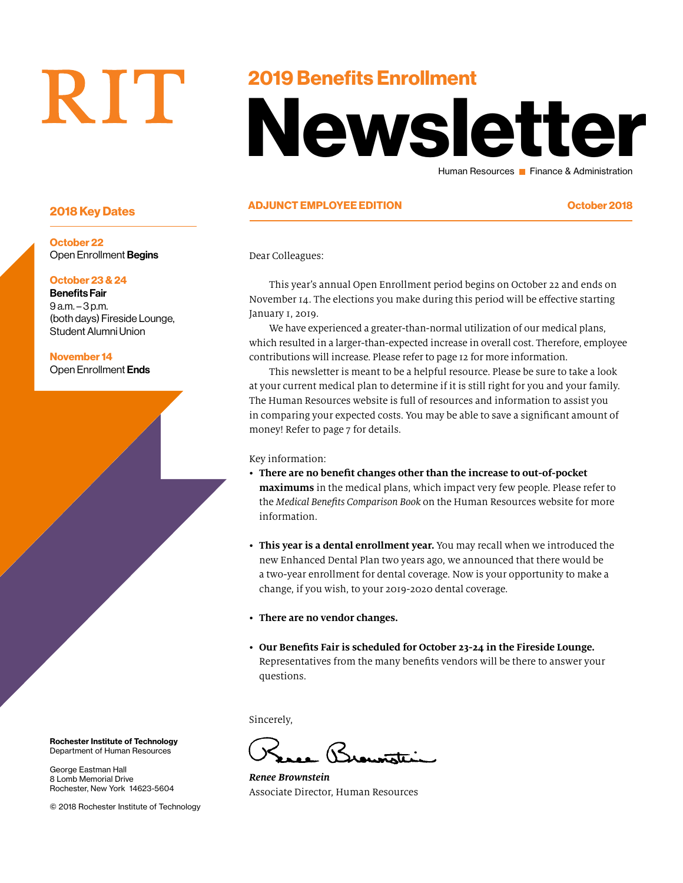# RIT

### 2019 Benefits Enrollment

# Newsletter Human Resources **Finance & Administration**

#### ADJUNCT EMPLOYEE EDITION October 2018 2018 Key Dates

Dear Colleagues:

This year's annual Open Enrollment period begins on October 22 and ends on November 14. The elections you make during this period will be effective starting January 1, 2019.

We have experienced a greater-than-normal utilization of our medical plans, which resulted in a larger-than-expected increase in overall cost. Therefore, employee contributions will increase. Please refer to page 12 for more information.

This newsletter is meant to be a helpful resource. Please be sure to take a look at your current medical plan to determine if it is still right for you and your family. The Human Resources website is full of resources and information to assist you in comparing your expected costs. You may be able to save a significant amount of money! Refer to page 7 for details.

#### Key information:

- **There are no benefit changes other than the increase to out-of-pocket maximums** in the medical plans, which impact very few people. Please refer to the *Medical Benefits Comparison Book* on the Human Resources website for more information.
- **This year is a dental enrollment year.** You may recall when we introduced the new Enhanced Dental Plan two years ago, we announced that there would be a two-year enrollment for dental coverage. Now is your opportunity to make a change, if you wish, to your 2019-2020 dental coverage.
- **There are no vendor changes.**
- **Our Benefits Fair is scheduled for October 23-24 in the Fireside Lounge.**  Representatives from the many benefits vendors will be there to answer your questions.

Sincerely,

 $\mathcal{R}_{\cdots}$  .

*Renee Brownstein* Associate Director, Human Resources

October 22 Open Enrollment Begins

#### October 23 & 24

Benefits Fair 9 a.m. – 3 p.m. (both days) Fireside Lounge, Student Alumni Union

November 14 Open Enrollment Ends

Rochester Institute of Technology Department of Human Resources

George Eastman Hall 8 Lomb Memorial Drive Rochester, New York 14623-5604

© 2018 Rochester Institute of Technology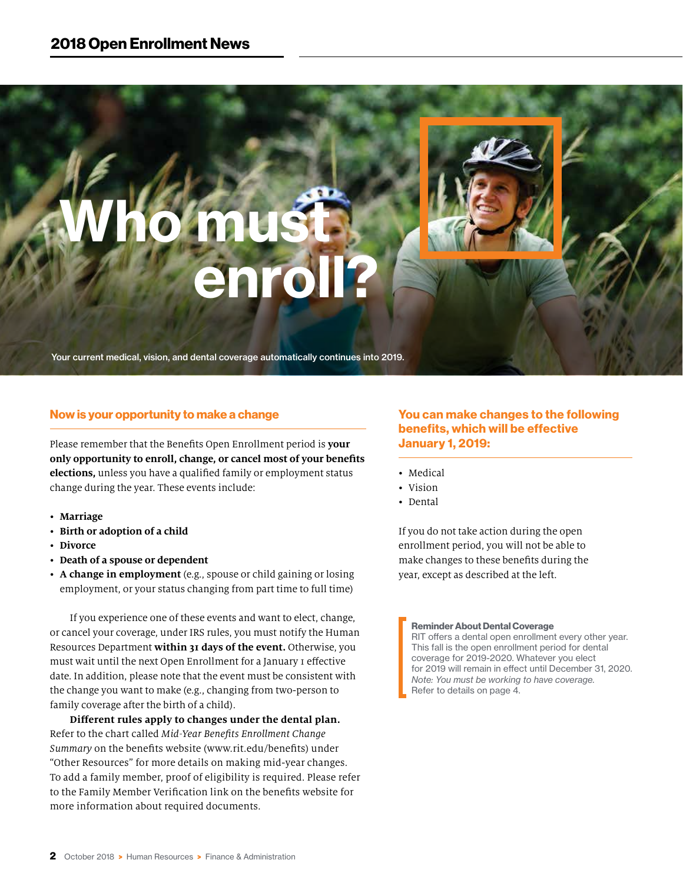# Who must enroll?

Your current medical, vision, and dental coverage automatically continues into 2019.

#### Now is your opportunity to make a change

Please remember that the Benefits Open Enrollment period is **your only opportunity to enroll, change, or cancel most of your benefits elections,** unless you have a qualified family or employment status change during the year. These events include:

- **Marriage**
- **Birth or adoption of a child**
- **Divorce**
- **Death of a spouse or dependent**
- **A change in employment** (e.g., spouse or child gaining or losing employment, or your status changing from part time to full time)

If you experience one of these events and want to elect, change, or cancel your coverage, under IRS rules, you must notify the Human Resources Department **within 31 days of the event.** Otherwise, you must wait until the next Open Enrollment for a January 1 effective date. In addition, please note that the event must be consistent with the change you want to make (e.g., changing from two-person to family coverage after the birth of a child).

**Different rules apply to changes under the dental plan.** Refer to the chart called *Mid-Year Benefits Enrollment Change Summary* on the benefits website (www.rit.edu/benefits) under "Other Resources" for more details on making mid-year changes. To add a family member, proof of eligibility is required. Please refer to the Family Member Verification link on the benefits website for more information about required documents.

#### You can make changes to the following benefits, which will be effective January 1, 2019:

- Medical
- Vision
- Dental

If you do not take action during the open enrollment period, you will not be able to make changes to these benefits during the year, except as described at the left.

#### Reminder About Dental Coverage

RIT offers a dental open enrollment every other year. This fall is the open enrollment period for dental coverage for 2019-2020. Whatever you elect for 2019 will remain in effect until December 31, 2020. *Note: You must be working to have coverage.*  Refer to details on page 4.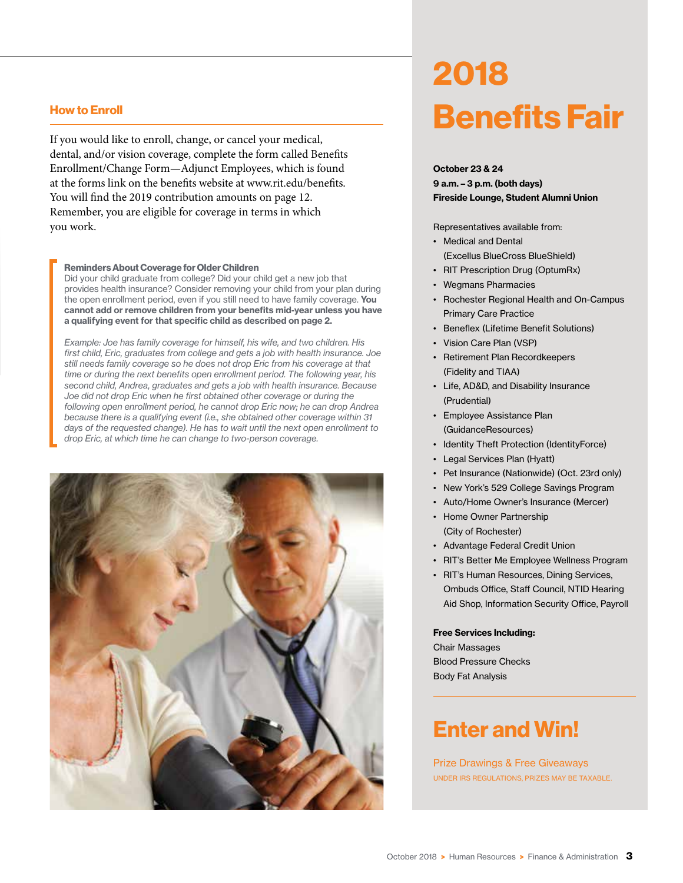#### How to Enroll

If you would like to enroll, change, or cancel your medical, dental, and/or vision coverage, complete the form called Benefits Enrollment/Change Form—Adjunct Employees, which is found at the forms link on the benefits website at www.rit.edu/benefits. You will find the 2019 contribution amounts on page 12. Remember, you are eligible for coverage in terms in which you work.

#### Reminders About Coverage for Older Children

Did your child graduate from college? Did your child get a new job that provides health insurance? Consider removing your child from your plan during the open enrollment period, even if you still need to have family coverage. You cannot add or remove children from your benefits mid-year unless you have a qualifying event for that specific child as described on page 2.

*Example: Joe has family coverage for himself, his wife, and two children. His first child, Eric, graduates from college and gets a job with health insurance. Joe still needs family coverage so he does not drop Eric from his coverage at that time or during the next benefits open enrollment period. The following year, his second child, Andrea, graduates and gets a job with health insurance. Because Joe did not drop Eric when he first obtained other coverage or during the following open enrollment period, he cannot drop Eric now; he can drop Andrea because there is a qualifying event (i.e., she obtained other coverage within 31 days of the requested change). He has to wait until the next open enrollment to drop Eric, at which time he can change to two-person coverage.*



## 2018 Benefits Fair

October 23 & 24 9 a.m. – 3 p.m. (both days) Fireside Lounge, Student Alumni Union

#### Representatives available from:

- Medical and Dental (Excellus BlueCross BlueShield)
- RIT Prescription Drug (OptumRx)
- Wegmans Pharmacies
- Rochester Regional Health and On-Campus Primary Care Practice
- Beneflex (Lifetime Benefit Solutions)
- Vision Care Plan (VSP)
- Retirement Plan Recordkeepers (Fidelity and TIAA)
- Life, AD&D, and Disability Insurance (Prudential)
- Employee Assistance Plan (GuidanceResources)
- Identity Theft Protection (IdentityForce)
- Legal Services Plan (Hyatt)
- Pet Insurance (Nationwide) (Oct. 23rd only)
- New York's 529 College Savings Program
- Auto/Home Owner's Insurance (Mercer)
- Home Owner Partnership (City of Rochester)
- Advantage Federal Credit Union
- RIT's Better Me Employee Wellness Program
- RIT's Human Resources, Dining Services, Ombuds Office, Staff Council, NTID Hearing Aid Shop, Information Security Office, Payroll

#### Free Services Including:

Chair Massages Blood Pressure Checks Body Fat Analysis

### Enter and Win!

Prize Drawings & Free Giveaways UNDER IRS REGULATIONS, PRIZES MAY BE TAXABLE.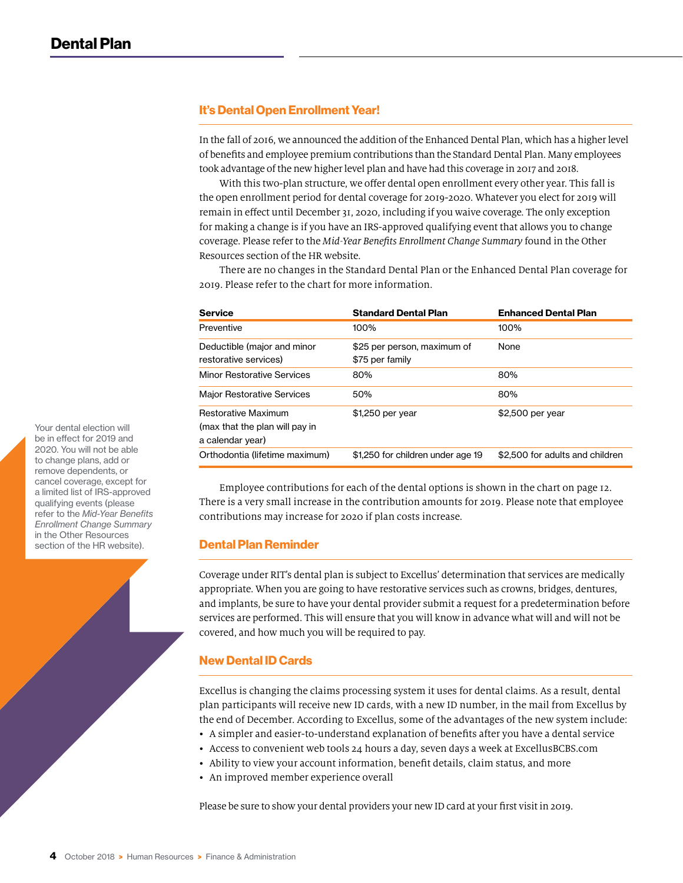#### It's Dental Open Enrollment Year!

In the fall of 2016, we announced the addition of the Enhanced Dental Plan, which has a higher level of benefits and employee premium contributions than the Standard Dental Plan. Many employees took advantage of the new higher level plan and have had this coverage in 2017 and 2018.

With this two-plan structure, we offer dental open enrollment every other year. This fall is the open enrollment period for dental coverage for 2019-2020. Whatever you elect for 2019 will remain in effect until December 31, 2020, including if you waive coverage. The only exception for making a change is if you have an IRS-approved qualifying event that allows you to change coverage. Please refer to the *Mid-Year Benefits Enrollment Change Summary* found in the Other Resources section of the HR website.

There are no changes in the Standard Dental Plan or the Enhanced Dental Plan coverage for 2019. Please refer to the chart for more information.

| <b>Service</b>                                                                   | <b>Standard Dental Plan</b>                    | <b>Enhanced Dental Plan</b>     |
|----------------------------------------------------------------------------------|------------------------------------------------|---------------------------------|
| Preventive                                                                       | 100%                                           | 100%                            |
| Deductible (major and minor<br>restorative services)                             | \$25 per person, maximum of<br>\$75 per family | None                            |
| <b>Minor Restorative Services</b>                                                | 80%                                            | 80%                             |
| <b>Major Restorative Services</b>                                                | 50%                                            | 80%                             |
| <b>Restorative Maximum</b><br>(max that the plan will pay in<br>a calendar year) | \$1,250 per year                               | \$2,500 per year                |
| Orthodontia (lifetime maximum)                                                   | \$1,250 for children under age 19              | \$2.500 for adults and children |

Employee contributions for each of the dental options is shown in the chart on page 12. There is a very small increase in the contribution amounts for 2019. Please note that employee contributions may increase for 2020 if plan costs increase.

#### Dental Plan Reminder

Coverage under RIT's dental plan is subject to Excellus' determination that services are medically appropriate. When you are going to have restorative services such as crowns, bridges, dentures, and implants, be sure to have your dental provider submit a request for a predetermination before services are performed. This will ensure that you will know in advance what will and will not be covered, and how much you will be required to pay.

#### New Dental ID Cards

Excellus is changing the claims processing system it uses for dental claims. As a result, dental plan participants will receive new ID cards, with a new ID number, in the mail from Excellus by the end of December. According to Excellus, some of the advantages of the new system include:

- A simpler and easier-to-understand explanation of benefits after you have a dental service
- Access to convenient web tools 24 hours a day, seven days a week at ExcellusBCBS.com
- Ability to view your account information, benefit details, claim status, and more
- An improved member experience overall

Please be sure to show your dental providers your new ID card at your first visit in 2019.

Your dental election will be in effect for 2019 and 2020. You will not be able to change plans, add or remove dependents, or cancel coverage, except for a limited list of IRS-approved qualifying events (please refer to the *Mid-Year Benefits Enrollment Change Summary*  in the Other Resources section of the HR website).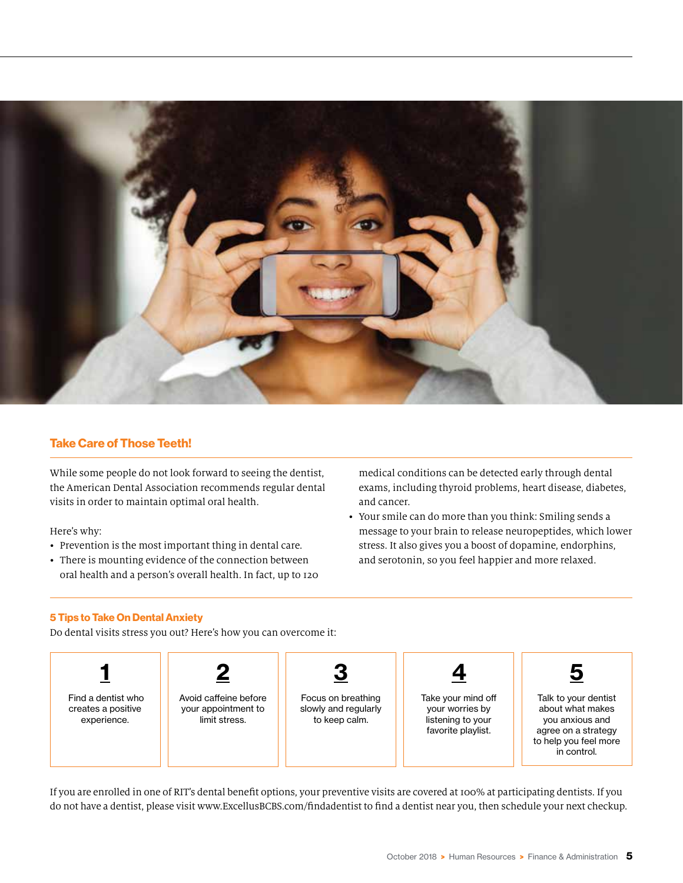

#### Take Care of Those Teeth!

While some people do not look forward to seeing the dentist, the American Dental Association recommends regular dental visits in order to maintain optimal oral health.

Here's why:

- Prevention is the most important thing in dental care.
- There is mounting evidence of the connection between oral health and a person's overall health. In fact, up to 120

medical conditions can be detected early through dental exams, including thyroid problems, heart disease, diabetes, and cancer.

• Your smile can do more than you think: Smiling sends a message to your brain to release neuropeptides, which lower stress. It also gives you a boost of dopamine, endorphins, and serotonin, so you feel happier and more relaxed.

#### 5 Tips to Take On Dental Anxiety

Do dental visits stress you out? Here's how you can overcome it:



If you are enrolled in one of RIT's dental benefit options, your preventive visits are covered at 100% at participating dentists. If you do not have a dentist, please visit www.ExcellusBCBS.com/findadentist to find a dentist near you, then schedule your next checkup.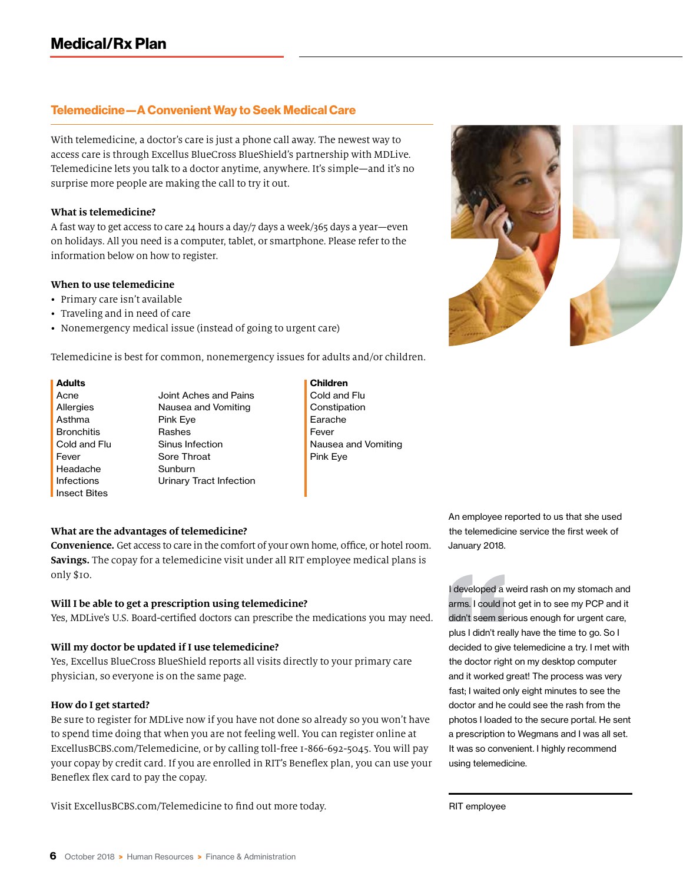#### Telemedicine—A Convenient Way to Seek Medical Care

With telemedicine, a doctor's care is just a phone call away. The newest way to access care is through Excellus BlueCross BlueShield's partnership with MDLive. Telemedicine lets you talk to a doctor anytime, anywhere. It's simple—and it's no surprise more people are making the call to try it out.

#### **What is telemedicine?**

A fast way to get access to care 24 hours a day/7 days a week/365 days a year—even on holidays. All you need is a computer, tablet, or smartphone. Please refer to the information below on how to register.

#### **When to use telemedicine**

- Primary care isn't available
- Traveling and in need of care
- Nonemergency medical issue (instead of going to urgent care)

Telemedicine is best for common, nonemergency issues for adults and/or children.

#### Adults **Adults Children**

Acne **Allergies** Asthma **Bronchitis** Cold and Flu Fever Headache Infections Insect Bites

Joint Aches and Pains Nausea and Vomiting Pink Eye Rashes Sinus Infection Sore Throat Sunburn Urinary Tract Infection

- Cold and Flu
- **Constipation** Earache Fever Nausea and Vomiting Pink Eye

#### **What are the advantages of telemedicine?**

**Convenience.** Get access to care in the comfort of your own home, office, or hotel room. **Savings.** The copay for a telemedicine visit under all RIT employee medical plans is only \$10.

#### **Will I be able to get a prescription using telemedicine?**

Yes, MDLive's U.S. Board-certified doctors can prescribe the medications you may need.

#### **Will my doctor be updated if I use telemedicine?**

Yes, Excellus BlueCross BlueShield reports all visits directly to your primary care physician, so everyone is on the same page.

#### **How do I get started?**

Be sure to register for MDLive now if you have not done so already so you won't have to spend time doing that when you are not feeling well. You can register online at ExcellusBCBS.com/Telemedicine, or by calling toll-free 1-866-692-5045. You will pay your copay by credit card. If you are enrolled in RIT's Beneflex plan, you can use your Beneflex flex card to pay the copay.

Visit ExcellusBCBS.com/Telemedicine to find out more today.

An employee reported to us that she used the telemedicine service the first week of January 2018.

I developed a weird rash on my stomach and arms. I could not get in to see my PCP and it didn't seem serious enough for urgent care, plus I didn't really have the time to go. So I decided to give telemedicine a try. I met with the doctor right on my desktop computer and it worked great! The process was very fast; I waited only eight minutes to see the doctor and he could see the rash from the photos I loaded to the secure portal. He sent a prescription to Wegmans and I was all set. It was so convenient. I highly recommend using telemedicine.

RIT employee

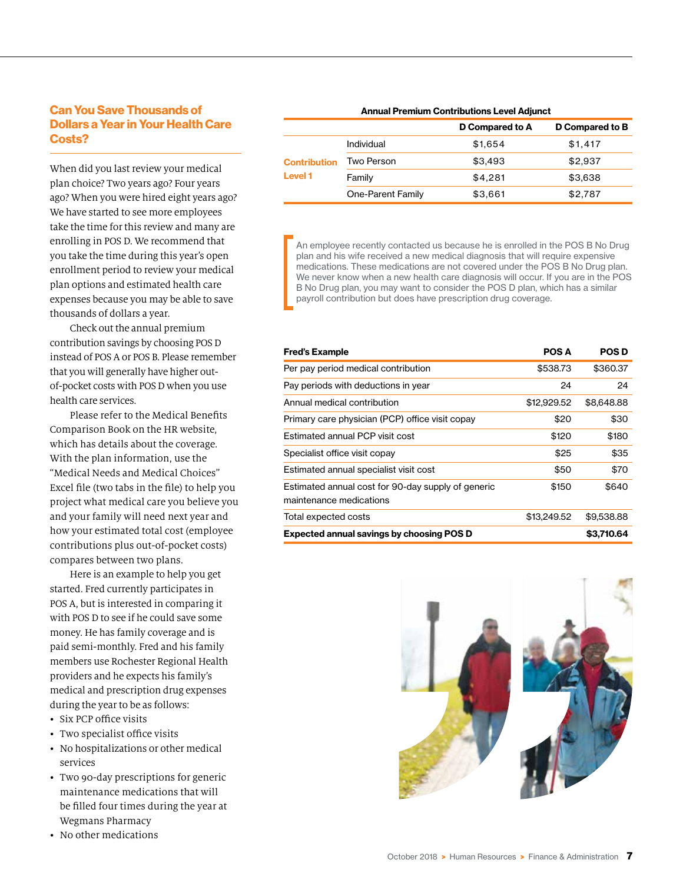#### Can You Save Thousands of Dollars a Year in Your Health Care Costs?

When did you last review your medical plan choice? Two years ago? Four years ago? When you were hired eight years ago? We have started to see more employees take the time for this review and many are enrolling in POS D. We recommend that you take the time during this year's open enrollment period to review your medical plan options and estimated health care expenses because you may be able to save thousands of dollars a year.

Check out the annual premium contribution savings by choosing POS D instead of POS A or POS B. Please remember that you will generally have higher outof-pocket costs with POS D when you use health care services.

Please refer to the Medical Benefits Comparison Book on the HR website, which has details about the coverage. With the plan information, use the "Medical Needs and Medical Choices" Excel file (two tabs in the file) to help you project what medical care you believe you and your family will need next year and how your estimated total cost (employee contributions plus out-of-pocket costs) compares between two plans.

Here is an example to help you get started. Fred currently participates in POS A, but is interested in comparing it with POS D to see if he could save some money. He has family coverage and is paid semi-monthly. Fred and his family members use Rochester Regional Health providers and he expects his family's medical and prescription drug expenses during the year to be as follows:

- Six PCP office visits
- Two specialist office visits
- No hospitalizations or other medical services
- Two 90-day prescriptions for generic maintenance medications that will be filled four times during the year at Wegmans Pharmacy
- No other medications

| <b>Annual Premium Contributions Level Adjunct</b> |                   |                 |                 |
|---------------------------------------------------|-------------------|-----------------|-----------------|
|                                                   |                   | D Compared to A | D Compared to B |
| <b>Contribution</b><br><b>Level 1</b>             | Individual        | \$1,654         | \$1,417         |
|                                                   | Two Person        | \$3,493         | \$2,937         |
|                                                   | Family            | \$4,281         | \$3,638         |
|                                                   | One-Parent Family | \$3,661         | \$2,787         |

An employee recently contacted us because he is enrolled in the POS B No Drug plan and his wife received a new medical diagnosis that will require expensive medications. These medications are not covered under the POS B No Drug plan. We never know when a new health care diagnosis will occur. If you are in the POS B No Drug plan, you may want to consider the POS D plan, which has a similar payroll contribution but does have prescription drug coverage.

| Fred's Example                                                                | <b>POS A</b> | <b>POSD</b> |
|-------------------------------------------------------------------------------|--------------|-------------|
| Per pay period medical contribution                                           | \$538.73     | \$360.37    |
| Pay periods with deductions in year                                           | 24           | 24          |
| Annual medical contribution                                                   | \$12,929.52  | \$8,648.88  |
| Primary care physician (PCP) office visit copay                               | \$20         | \$30        |
| Estimated annual PCP visit cost                                               | \$120        | \$180       |
| Specialist office visit copay                                                 | \$25         | \$35        |
| Estimated annual specialist visit cost                                        | \$50         | \$70        |
| Estimated annual cost for 90-day supply of generic<br>maintenance medications | \$150        | \$640       |
| Total expected costs                                                          | \$13,249.52  | \$9,538.88  |
| Expected annual savings by choosing POS D                                     |              | \$3,710.64  |

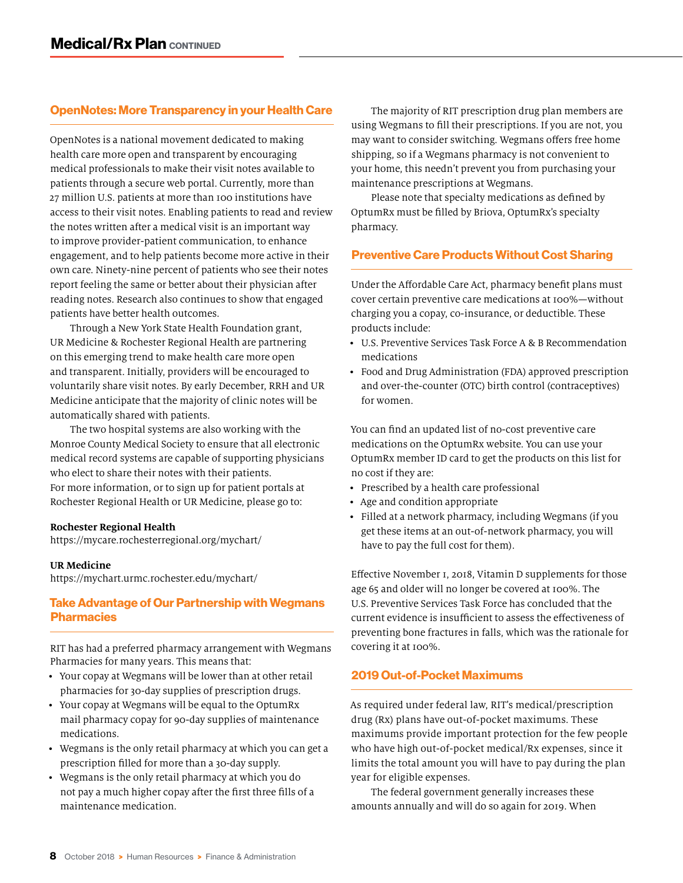#### OpenNotes: More Transparency in your Health Care

OpenNotes is a national movement dedicated to making health care more open and transparent by encouraging medical professionals to make their visit notes available to patients through a secure web portal. Currently, more than 27 million U.S. patients at more than 100 institutions have access to their visit notes. Enabling patients to read and review the notes written after a medical visit is an important way to improve provider-patient communication, to enhance engagement, and to help patients become more active in their own care. Ninety-nine percent of patients who see their notes report feeling the same or better about their physician after reading notes. Research also continues to show that engaged patients have better health outcomes.

Through a New York State Health Foundation grant, UR Medicine & Rochester Regional Health are partnering on this emerging trend to make health care more open and transparent. Initially, providers will be encouraged to voluntarily share visit notes. By early December, RRH and UR Medicine anticipate that the majority of clinic notes will be automatically shared with patients.

The two hospital systems are also working with the Monroe County Medical Society to ensure that all electronic medical record systems are capable of supporting physicians who elect to share their notes with their patients. For more information, or to sign up for patient portals at Rochester Regional Health or UR Medicine, please go to:

#### **Rochester Regional Health**

https://mycare.rochesterregional.org/mychart/

#### **UR Medicine**

https://mychart.urmc.rochester.edu/mychart/

#### Take Advantage of Our Partnership with Wegmans **Pharmacies**

RIT has had a preferred pharmacy arrangement with Wegmans Pharmacies for many years. This means that:

- Your copay at Wegmans will be lower than at other retail pharmacies for 30-day supplies of prescription drugs.
- Your copay at Wegmans will be equal to the OptumRx mail pharmacy copay for 90-day supplies of maintenance medications.
- Wegmans is the only retail pharmacy at which you can get a prescription filled for more than a 30-day supply.
- Wegmans is the only retail pharmacy at which you do not pay a much higher copay after the first three fills of a maintenance medication.

The majority of RIT prescription drug plan members are using Wegmans to fill their prescriptions. If you are not, you may want to consider switching. Wegmans offers free home shipping, so if a Wegmans pharmacy is not convenient to your home, this needn't prevent you from purchasing your maintenance prescriptions at Wegmans.

Please note that specialty medications as defined by OptumRx must be filled by Briova, OptumRx's specialty pharmacy.

#### Preventive Care Products Without Cost Sharing

Under the Affordable Care Act, pharmacy benefit plans must cover certain preventive care medications at 100%—without charging you a copay, co-insurance, or deductible. These products include:

- U.S. Preventive Services Task Force A & B Recommendation medications
- Food and Drug Administration (FDA) approved prescription and over-the-counter (OTC) birth control (contraceptives) for women.

You can find an updated list of no-cost preventive care medications on the OptumRx website. You can use your OptumRx member ID card to get the products on this list for no cost if they are:

- Prescribed by a health care professional
- Age and condition appropriate
- Filled at a network pharmacy, including Wegmans (if you get these items at an out-of-network pharmacy, you will have to pay the full cost for them).

Effective November 1, 2018, Vitamin D supplements for those age 65 and older will no longer be covered at 100%. The U.S. Preventive Services Task Force has concluded that the current evidence is insufficient to assess the effectiveness of preventing bone fractures in falls, which was the rationale for covering it at 100%.

#### 2019 Out-of-Pocket Maximums

As required under federal law, RIT's medical/prescription drug (Rx) plans have out-of-pocket maximums. These maximums provide important protection for the few people who have high out-of-pocket medical/Rx expenses, since it limits the total amount you will have to pay during the plan year for eligible expenses.

The federal government generally increases these amounts annually and will do so again for 2019. When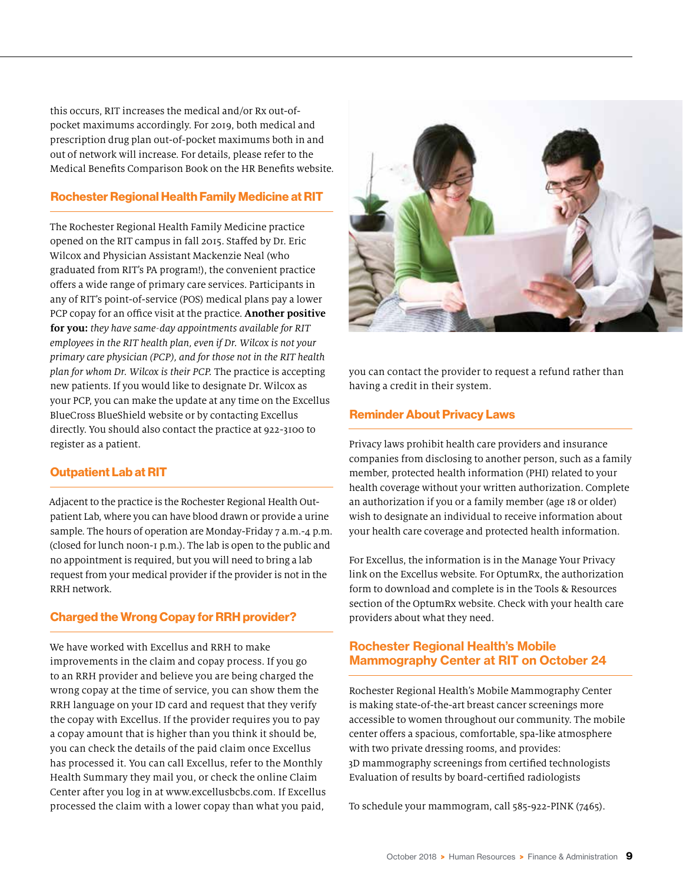this occurs, RIT increases the medical and/or Rx out-ofpocket maximums accordingly. For 2019, both medical and prescription drug plan out-of-pocket maximums both in and out of network will increase. For details, please refer to the Medical Benefits Comparison Book on the HR Benefits website.

#### Rochester Regional Health Family Medicine at RIT

The Rochester Regional Health Family Medicine practice opened on the RIT campus in fall 2015. Staffed by Dr. Eric Wilcox and Physician Assistant Mackenzie Neal (who graduated from RIT's PA program!), the convenient practice offers a wide range of primary care services. Participants in any of RIT's point-of-service (POS) medical plans pay a lower PCP copay for an office visit at the practice. **Another positive for you:** *they have same-day appointments available for RIT employees in the RIT health plan, even if Dr. Wilcox is not your primary care physician (PCP), and for those not in the RIT health plan for whom Dr. Wilcox is their PCP.* The practice is accepting new patients. If you would like to designate Dr. Wilcox as your PCP, you can make the update at any time on the Excellus BlueCross BlueShield website or by contacting Excellus directly. You should also contact the practice at 922-3100 to register as a patient.

#### Outpatient Lab at RIT

Adjacent to the practice is the Rochester Regional Health Outpatient Lab, where you can have blood drawn or provide a urine sample. The hours of operation are Monday-Friday 7 a.m.-4 p.m. (closed for lunch noon-1 p.m.). The lab is open to the public and no appointment is required, but you will need to bring a lab request from your medical provider if the provider is not in the RRH network.

#### Charged the Wrong Copay for RRH provider?

We have worked with Excellus and RRH to make improvements in the claim and copay process. If you go to an RRH provider and believe you are being charged the wrong copay at the time of service, you can show them the RRH language on your ID card and request that they verify the copay with Excellus. If the provider requires you to pay a copay amount that is higher than you think it should be, you can check the details of the paid claim once Excellus has processed it. You can call Excellus, refer to the Monthly Health Summary they mail you, or check the online Claim Center after you log in at www.excellusbcbs.com. If Excellus processed the claim with a lower copay than what you paid,



you can contact the provider to request a refund rather than having a credit in their system.

#### Reminder About Privacy Laws

Privacy laws prohibit health care providers and insurance companies from disclosing to another person, such as a family member, protected health information (PHI) related to your health coverage without your written authorization. Complete an authorization if you or a family member (age 18 or older) wish to designate an individual to receive information about your health care coverage and protected health information.

For Excellus, the information is in the Manage Your Privacy link on the Excellus website. For OptumRx, the authorization form to download and complete is in the Tools & Resources section of the OptumRx website. Check with your health care providers about what they need.

#### Rochester Regional Health's Mobile Mammography Center at RIT on October 24

Rochester Regional Health's Mobile Mammography Center is making state-of-the-art breast cancer screenings more accessible to women throughout our community. The mobile center offers a spacious, comfortable, spa-like atmosphere with two private dressing rooms, and provides: 3D mammography screenings from certified technologists Evaluation of results by board-certified radiologists

To schedule your mammogram, call 585-922-PINK (7465).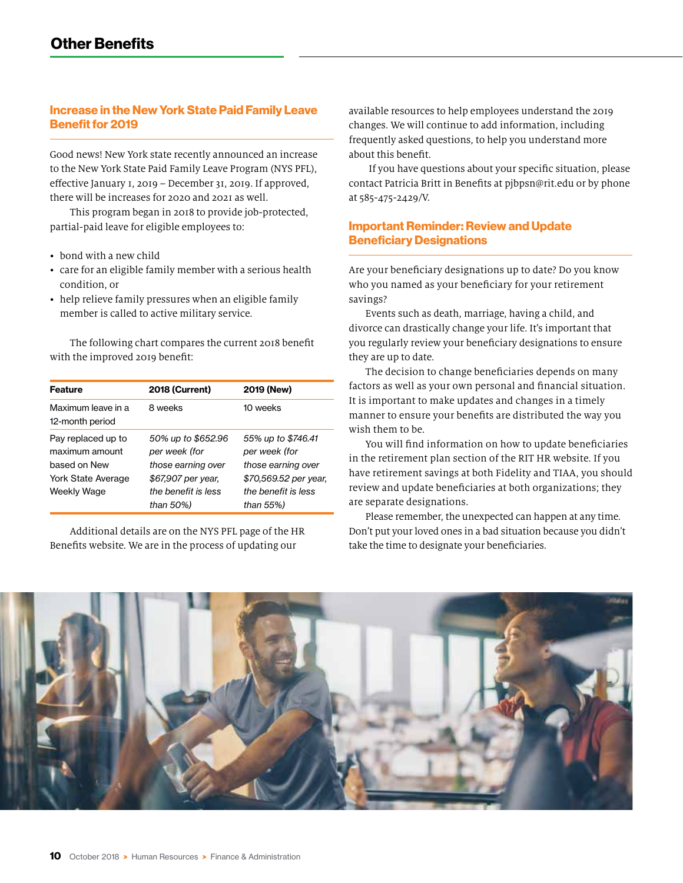#### Increase in the New York State Paid Family Leave Benefit for 2019

Good news! New York state recently announced an increase to the New York State Paid Family Leave Program (NYS PFL), effective January 1, 2019 – December 31, 2019. If approved, there will be increases for 2020 and 2021 as well.

This program began in 2018 to provide job-protected, partial-paid leave for eligible employees to:

- bond with a new child
- care for an eligible family member with a serious health condition, or
- help relieve family pressures when an eligible family member is called to active military service.

The following chart compares the current 2018 benefit with the improved 2019 benefit:

| <b>Feature</b>                                                                                   | <b>2018 (Current)</b>                                                                                  | 2019 (New)                                                                                                |
|--------------------------------------------------------------------------------------------------|--------------------------------------------------------------------------------------------------------|-----------------------------------------------------------------------------------------------------------|
| Maximum leave in a<br>12-month period                                                            | 8 weeks                                                                                                | 10 weeks                                                                                                  |
| Pay replaced up to<br>maximum amount<br>based on New<br><b>York State Average</b><br>Weekly Wage | 50% up to \$652.96<br>per week (for<br>those earning over<br>\$67,907 per year.<br>the benefit is less | 55% up to \$746.41<br>per week (for<br>those earning over<br>\$70,569.52 per year,<br>the benefit is less |
|                                                                                                  | than 50%)                                                                                              | than 55%)                                                                                                 |

Additional details are on the NYS PFL page of the HR Benefits website. We are in the process of updating our

available resources to help employees understand the 2019 changes. We will continue to add information, including frequently asked questions, to help you understand more about this benefit.

If you have questions about your specific situation, please contact Patricia Britt in Benefits at pjbpsn@rit.edu or by phone at 585-475-2429/V.

#### Important Reminder: Review and Update Beneficiary Designations

Are your beneficiary designations up to date? Do you know who you named as your beneficiary for your retirement savings?

Events such as death, marriage, having a child, and divorce can drastically change your life. It's important that you regularly review your beneficiary designations to ensure they are up to date.

The decision to change beneficiaries depends on many factors as well as your own personal and financial situation. It is important to make updates and changes in a timely manner to ensure your benefits are distributed the way you wish them to be.

You will find information on how to update beneficiaries in the retirement plan section of the RIT HR website. If you have retirement savings at both Fidelity and TIAA, you should review and update beneficiaries at both organizations; they are separate designations.

Please remember, the unexpected can happen at any time. Don't put your loved ones in a bad situation because you didn't take the time to designate your beneficiaries.

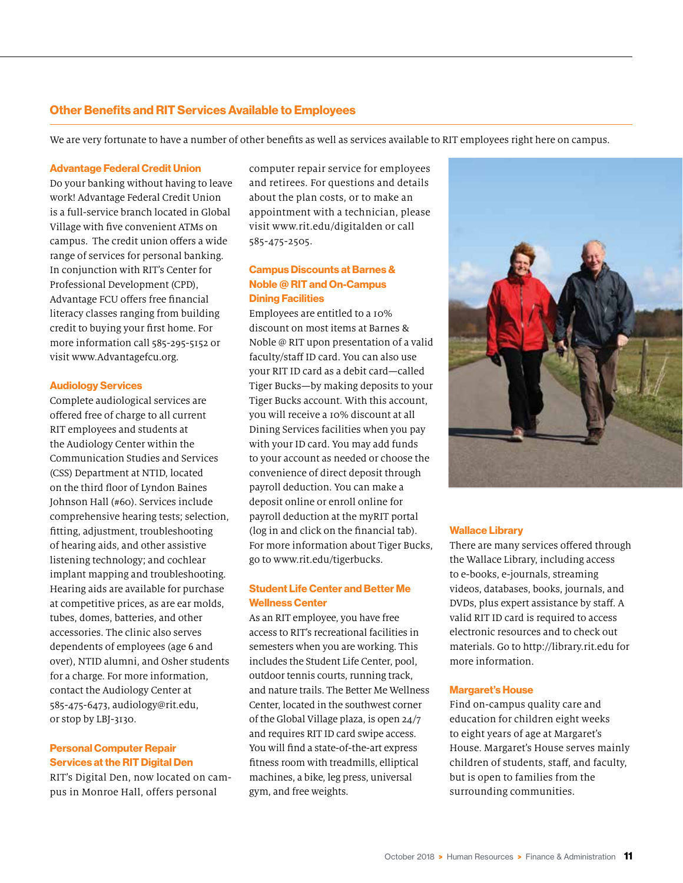#### Other Benefits and RIT Services Available to Employees

We are very fortunate to have a number of other benefits as well as services available to RIT employees right here on campus.

#### Advantage Federal Credit Union

Do your banking without having to leave work! Advantage Federal Credit Union is a full-service branch located in Global Village with five convenient ATMs on campus. The credit union offers a wide range of services for personal banking. In conjunction with RIT's Center for Professional Development (CPD), Advantage FCU offers free financial literacy classes ranging from building credit to buying your first home. For more information call 585-295-5152 or visit www.Advantagefcu.org.

#### Audiology Services

Complete audiological services are offered free of charge to all current RIT employees and students at the Audiology Center within the Communication Studies and Services (CSS) Department at NTID, located on the third floor of Lyndon Baines Johnson Hall (#60). Services include comprehensive hearing tests; selection, fitting, adjustment, troubleshooting of hearing aids, and other assistive listening technology; and cochlear implant mapping and troubleshooting. Hearing aids are available for purchase at competitive prices, as are ear molds, tubes, domes, batteries, and other accessories. The clinic also serves dependents of employees (age 6 and over), NTID alumni, and Osher students for a charge. For more information, contact the Audiology Center at 585-475-6473, audiology@rit.edu, or stop by LBJ-3130.

#### Personal Computer Repair Services at the RIT Digital Den

RIT's Digital Den, now located on campus in Monroe Hall, offers personal

computer repair service for employees and retirees. For questions and details about the plan costs, or to make an appointment with a technician, please visit www.rit.edu/digitalden or call 585-475-2505.

#### Campus Discounts at Barnes & Noble @ RIT and On-Campus Dining Facilities

Employees are entitled to a 10% discount on most items at Barnes & Noble @ RIT upon presentation of a valid faculty/staff ID card. You can also use your RIT ID card as a debit card—called Tiger Bucks—by making deposits to your Tiger Bucks account. With this account, you will receive a 10% discount at all Dining Services facilities when you pay with your ID card. You may add funds to your account as needed or choose the convenience of direct deposit through payroll deduction. You can make a deposit online or enroll online for payroll deduction at the myRIT portal (log in and click on the financial tab). For more information about Tiger Bucks, go to www.rit.edu/tigerbucks.

#### Student Life Center and Better Me Wellness Center

As an RIT employee, you have free access to RIT's recreational facilities in semesters when you are working. This includes the Student Life Center, pool, outdoor tennis courts, running track, and nature trails. The Better Me Wellness Center, located in the southwest corner of the Global Village plaza, is open 24/7 and requires RIT ID card swipe access. You will find a state-of-the-art express fitness room with treadmills, elliptical machines, a bike, leg press, universal gym, and free weights.



#### Wallace Library

There are many services offered through the Wallace Library, including access to e-books, e-journals, streaming videos, databases, books, journals, and DVDs, plus expert assistance by staff. A valid RIT ID card is required to access electronic resources and to check out materials. Go to http://library.rit.edu for more information.

#### Margaret's House

Find on-campus quality care and education for children eight weeks to eight years of age at Margaret's House. Margaret's House serves mainly children of students, staff, and faculty, but is open to families from the surrounding communities.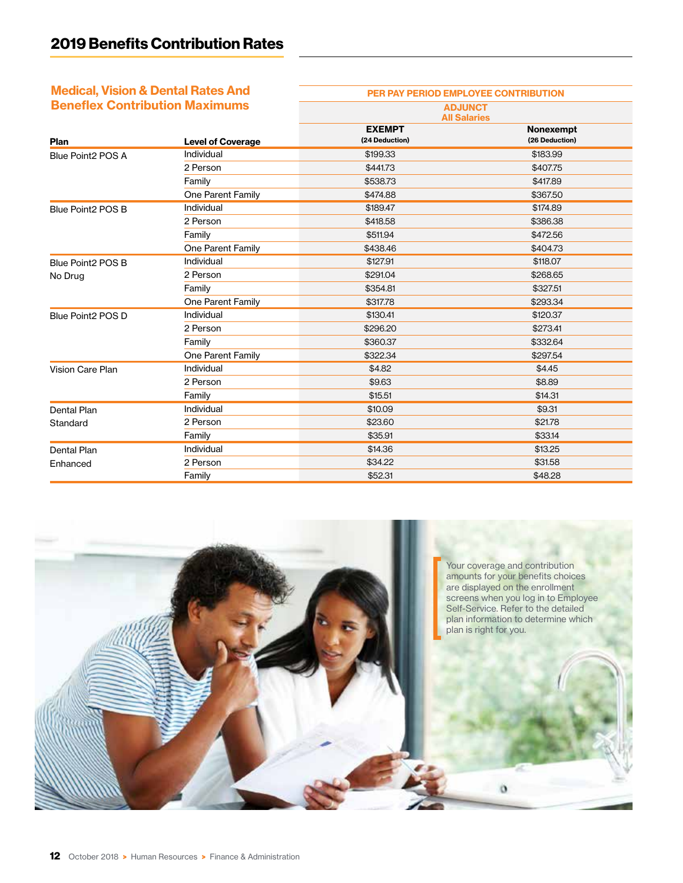## Medical, Vision & Dental Rates And

| <b>Medical, Vision &amp; Dental Rates And</b> |                          | PER PAY PERIOD EMPLOYEE CONTRIBUTION  |                             |  |
|-----------------------------------------------|--------------------------|---------------------------------------|-----------------------------|--|
| <b>Beneflex Contribution Maximums</b>         |                          | <b>ADJUNCT</b><br><b>All Salaries</b> |                             |  |
| Plan                                          | <b>Level of Coverage</b> | <b>EXEMPT</b><br>(24 Deduction)       | Nonexempt<br>(26 Deduction) |  |
| Blue Point2 POS A                             | Individual               | \$199.33                              | \$183.99                    |  |
|                                               | 2 Person                 | \$441.73                              | \$407.75                    |  |
|                                               | Family                   | \$538.73                              | \$417.89                    |  |
|                                               | One Parent Family        | \$474.88                              | \$367.50                    |  |
| Blue Point2 POS B                             | Individual               | \$189.47                              | \$174.89                    |  |
|                                               | 2 Person                 | \$418.58                              | \$386.38                    |  |
|                                               | Family                   | \$511.94                              | \$472.56                    |  |
|                                               | One Parent Family        | \$438.46                              | \$404.73                    |  |
| Blue Point2 POS B                             | Individual               | \$127.91                              | \$118.07                    |  |
| No Drug                                       | 2 Person                 | \$291.04                              | \$268.65                    |  |
|                                               | Family                   | \$354.81                              | \$327.51                    |  |
|                                               | One Parent Family        | \$317.78                              | \$293.34                    |  |
| Blue Point2 POS D                             | Individual               | \$130.41                              | \$120.37                    |  |
|                                               | 2 Person                 | \$296.20                              | \$273.41                    |  |
|                                               | Family                   | \$360.37                              | \$332.64                    |  |
|                                               | One Parent Family        | \$322.34                              | \$297.54                    |  |
| Vision Care Plan                              | Individual               | \$4.82                                | \$4.45                      |  |
|                                               | 2 Person                 | \$9.63                                | \$8.89                      |  |
|                                               | Family                   | \$15.51                               | \$14.31                     |  |
| Dental Plan                                   | Individual               | \$10.09                               | \$9.31                      |  |
| Standard                                      | 2 Person                 | \$23.60                               | \$21.78                     |  |
|                                               | Family                   | \$35.91                               | \$33.14                     |  |
| <b>Dental Plan</b>                            | Individual               | \$14.36                               | \$13.25                     |  |
| Enhanced                                      | 2 Person                 | \$34.22                               | \$31.58                     |  |
|                                               | Family                   | \$52.31                               | \$48.28                     |  |